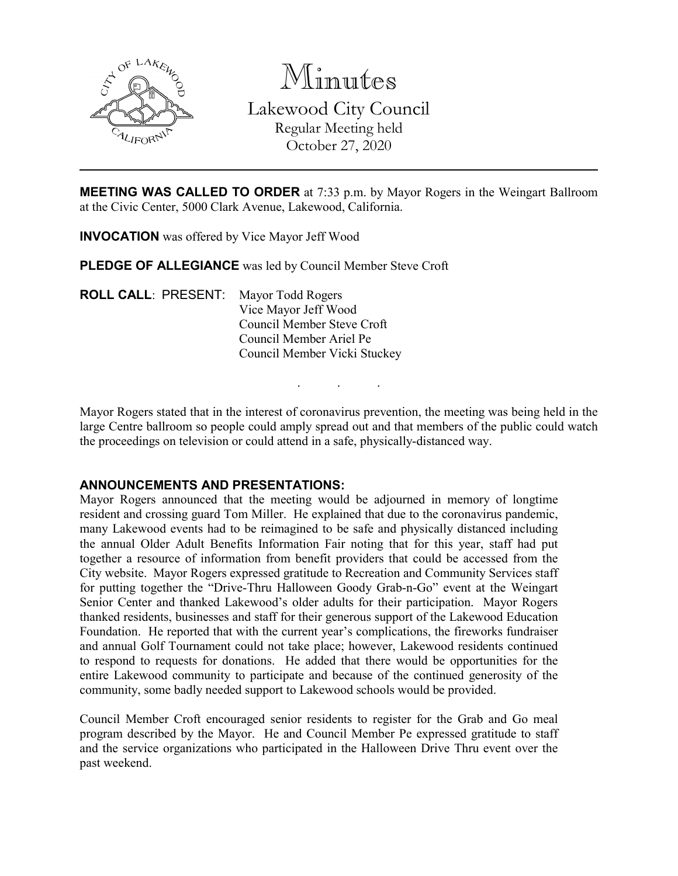

Minutes Lakewood City Council Regular Meeting held October 27, 2020

**MEETING WAS CALLED TO ORDER** at 7:33 p.m. by Mayor Rogers in the Weingart Ballroom at the Civic Center, 5000 Clark Avenue, Lakewood, California.

**INVOCATION** was offered by Vice Mayor Jeff Wood

**PLEDGE OF ALLEGIANCE** was led by Council Member Steve Croft

**ROLL CALL**: PRESENT: Mayor Todd Rogers Vice Mayor Jeff Wood Council Member Steve Croft Council Member Ariel Pe Council Member Vicki Stuckey

Mayor Rogers stated that in the interest of coronavirus prevention, the meeting was being held in the large Centre ballroom so people could amply spread out and that members of the public could watch the proceedings on television or could attend in a safe, physically-distanced way.

. . .

#### **ANNOUNCEMENTS AND PRESENTATIONS:**

Mayor Rogers announced that the meeting would be adjourned in memory of longtime resident and crossing guard Tom Miller. He explained that due to the coronavirus pandemic, many Lakewood events had to be reimagined to be safe and physically distanced including the annual Older Adult Benefits Information Fair noting that for this year, staff had put together a resource of information from benefit providers that could be accessed from the City website. Mayor Rogers expressed gratitude to Recreation and Community Services staff for putting together the "Drive-Thru Halloween Goody Grab-n-Go" event at the Weingart Senior Center and thanked Lakewood's older adults for their participation. Mayor Rogers thanked residents, businesses and staff for their generous support of the Lakewood Education Foundation. He reported that with the current year's complications, the fireworks fundraiser and annual Golf Tournament could not take place; however, Lakewood residents continued to respond to requests for donations. He added that there would be opportunities for the entire Lakewood community to participate and because of the continued generosity of the community, some badly needed support to Lakewood schools would be provided.

Council Member Croft encouraged senior residents to register for the Grab and Go meal program described by the Mayor. He and Council Member Pe expressed gratitude to staff and the service organizations who participated in the Halloween Drive Thru event over the past weekend.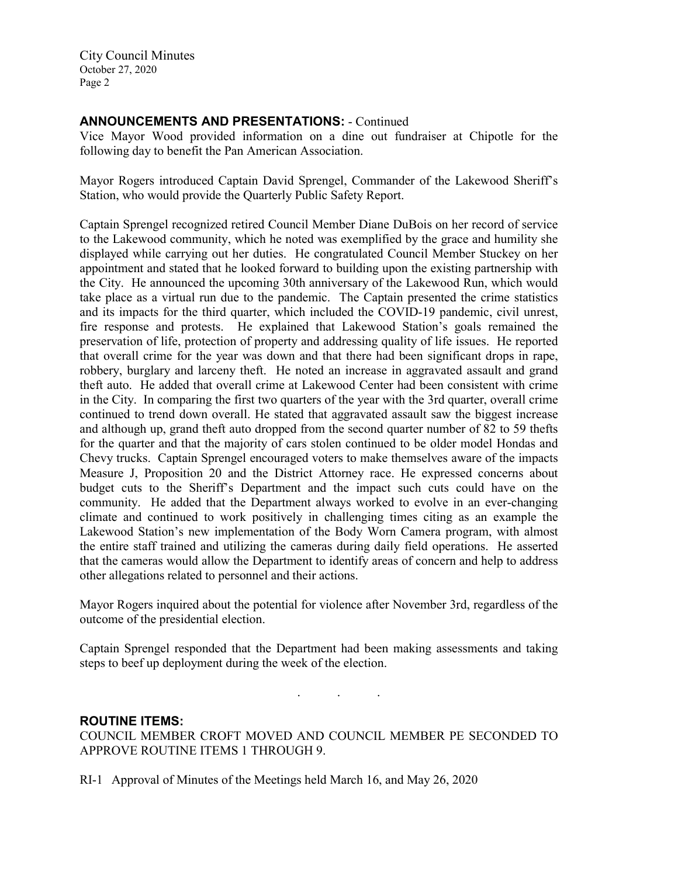# **ANNOUNCEMENTS AND PRESENTATIONS:** - Continued

Vice Mayor Wood provided information on a dine out fundraiser at Chipotle for the following day to benefit the Pan American Association.

Mayor Rogers introduced Captain David Sprengel, Commander of the Lakewood Sheriff's Station, who would provide the Quarterly Public Safety Report.

Captain Sprengel recognized retired Council Member Diane DuBois on her record of service to the Lakewood community, which he noted was exemplified by the grace and humility she displayed while carrying out her duties. He congratulated Council Member Stuckey on her appointment and stated that he looked forward to building upon the existing partnership with the City. He announced the upcoming 30th anniversary of the Lakewood Run, which would take place as a virtual run due to the pandemic. The Captain presented the crime statistics and its impacts for the third quarter, which included the COVID-19 pandemic, civil unrest, fire response and protests. He explained that Lakewood Station's goals remained the preservation of life, protection of property and addressing quality of life issues. He reported that overall crime for the year was down and that there had been significant drops in rape, robbery, burglary and larceny theft. He noted an increase in aggravated assault and grand theft auto. He added that overall crime at Lakewood Center had been consistent with crime in the City. In comparing the first two quarters of the year with the 3rd quarter, overall crime continued to trend down overall. He stated that aggravated assault saw the biggest increase and although up, grand theft auto dropped from the second quarter number of 82 to 59 thefts for the quarter and that the majority of cars stolen continued to be older model Hondas and Chevy trucks. Captain Sprengel encouraged voters to make themselves aware of the impacts Measure J, Proposition 20 and the District Attorney race. He expressed concerns about budget cuts to the Sheriff's Department and the impact such cuts could have on the community. He added that the Department always worked to evolve in an ever-changing climate and continued to work positively in challenging times citing as an example the Lakewood Station's new implementation of the Body Worn Camera program, with almost the entire staff trained and utilizing the cameras during daily field operations. He asserted that the cameras would allow the Department to identify areas of concern and help to address other allegations related to personnel and their actions.

Mayor Rogers inquired about the potential for violence after November 3rd, regardless of the outcome of the presidential election.

Captain Sprengel responded that the Department had been making assessments and taking steps to beef up deployment during the week of the election.

. . .

# **ROUTINE ITEMS:** COUNCIL MEMBER CROFT MOVED AND COUNCIL MEMBER PE SECONDED TO APPROVE ROUTINE ITEMS 1 THROUGH 9.

RI-1 Approval of Minutes of the Meetings held March 16, and May 26, 2020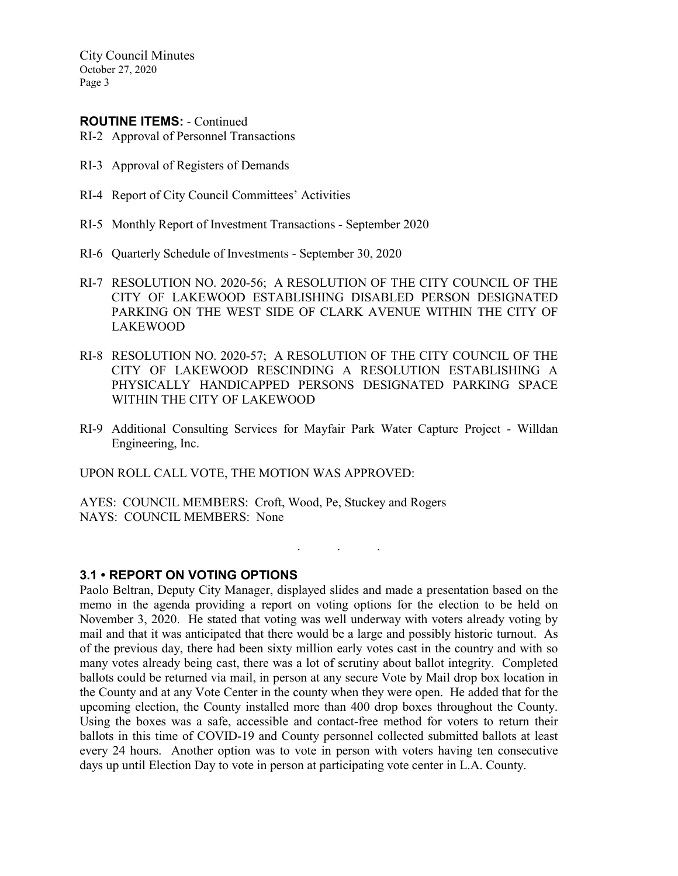#### **ROUTINE ITEMS:** - Continued

RI-2 Approval of Personnel Transactions

- RI-3 Approval of Registers of Demands
- RI-4 Report of City Council Committees' Activities
- RI-5 Monthly Report of Investment Transactions September 2020
- RI-6 Quarterly Schedule of Investments September 30, 2020
- RI-7 RESOLUTION NO. 2020-56; A RESOLUTION OF THE CITY COUNCIL OF THE CITY OF LAKEWOOD ESTABLISHING DISABLED PERSON DESIGNATED PARKING ON THE WEST SIDE OF CLARK AVENUE WITHIN THE CITY OF LAKEWOOD
- RI-8 RESOLUTION NO. 2020-57; A RESOLUTION OF THE CITY COUNCIL OF THE CITY OF LAKEWOOD RESCINDING A RESOLUTION ESTABLISHING A PHYSICALLY HANDICAPPED PERSONS DESIGNATED PARKING SPACE WITHIN THE CITY OF LAKEWOOD
- RI-9 Additional Consulting Services for Mayfair Park Water Capture Project Willdan Engineering, Inc.

. . .

UPON ROLL CALL VOTE, THE MOTION WAS APPROVED:

AYES: COUNCIL MEMBERS: Croft, Wood, Pe, Stuckey and Rogers NAYS: COUNCIL MEMBERS: None

**3.1 • REPORT ON VOTING OPTIONS**

Paolo Beltran, Deputy City Manager, displayed slides and made a presentation based on the memo in the agenda providing a report on voting options for the election to be held on November 3, 2020. He stated that voting was well underway with voters already voting by mail and that it was anticipated that there would be a large and possibly historic turnout. As of the previous day, there had been sixty million early votes cast in the country and with so many votes already being cast, there was a lot of scrutiny about ballot integrity. Completed ballots could be returned via mail, in person at any secure Vote by Mail drop box location in the County and at any Vote Center in the county when they were open. He added that for the upcoming election, the County installed more than 400 drop boxes throughout the County. Using the boxes was a safe, accessible and contact-free method for voters to return their ballots in this time of COVID-19 and County personnel collected submitted ballots at least every 24 hours. Another option was to vote in person with voters having ten consecutive days up until Election Day to vote in person at participating vote center in L.A. County.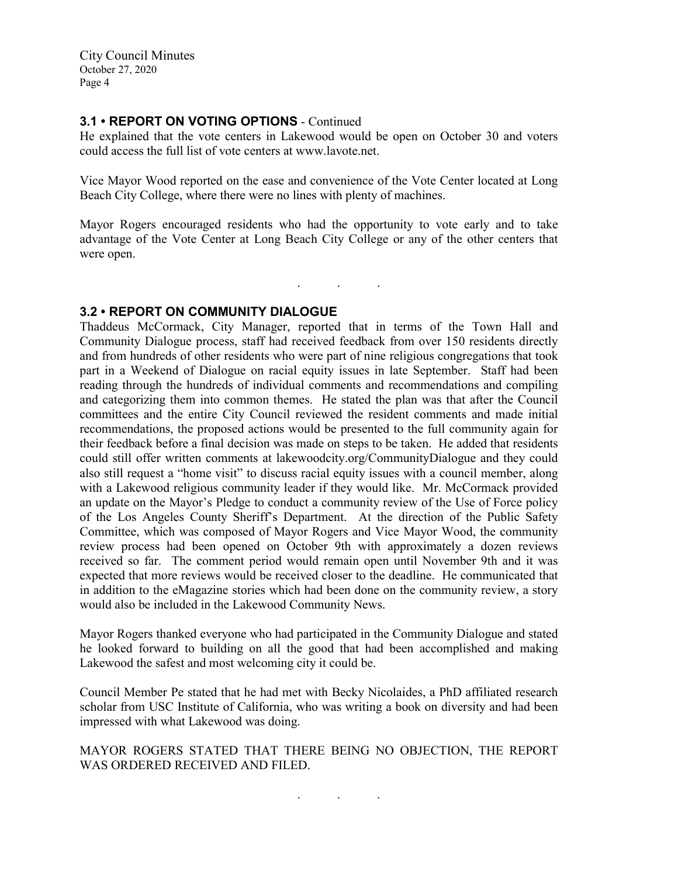# **3.1 • REPORT ON VOTING OPTIONS** - Continued

He explained that the vote centers in Lakewood would be open on October 30 and voters could access the full list of vote centers at www.lavote.net.

Vice Mayor Wood reported on the ease and convenience of the Vote Center located at Long Beach City College, where there were no lines with plenty of machines.

Mayor Rogers encouraged residents who had the opportunity to vote early and to take advantage of the Vote Center at Long Beach City College or any of the other centers that were open.

. . .

# **3.2 • REPORT ON COMMUNITY DIALOGUE**

Thaddeus McCormack, City Manager, reported that in terms of the Town Hall and Community Dialogue process, staff had received feedback from over 150 residents directly and from hundreds of other residents who were part of nine religious congregations that took part in a Weekend of Dialogue on racial equity issues in late September. Staff had been reading through the hundreds of individual comments and recommendations and compiling and categorizing them into common themes. He stated the plan was that after the Council committees and the entire City Council reviewed the resident comments and made initial recommendations, the proposed actions would be presented to the full community again for their feedback before a final decision was made on steps to be taken. He added that residents could still offer written comments at lakewoodcity.org/CommunityDialogue and they could also still request a "home visit" to discuss racial equity issues with a council member, along with a Lakewood religious community leader if they would like. Mr. McCormack provided an update on the Mayor's Pledge to conduct a community review of the Use of Force policy of the Los Angeles County Sheriff's Department. At the direction of the Public Safety Committee, which was composed of Mayor Rogers and Vice Mayor Wood, the community review process had been opened on October 9th with approximately a dozen reviews received so far. The comment period would remain open until November 9th and it was expected that more reviews would be received closer to the deadline. He communicated that in addition to the eMagazine stories which had been done on the community review, a story would also be included in the Lakewood Community News.

Mayor Rogers thanked everyone who had participated in the Community Dialogue and stated he looked forward to building on all the good that had been accomplished and making Lakewood the safest and most welcoming city it could be.

Council Member Pe stated that he had met with Becky Nicolaides, a PhD affiliated research scholar from USC Institute of California, who was writing a book on diversity and had been impressed with what Lakewood was doing.

MAYOR ROGERS STATED THAT THERE BEING NO OBJECTION, THE REPORT WAS ORDERED RECEIVED AND FILED.

. . .